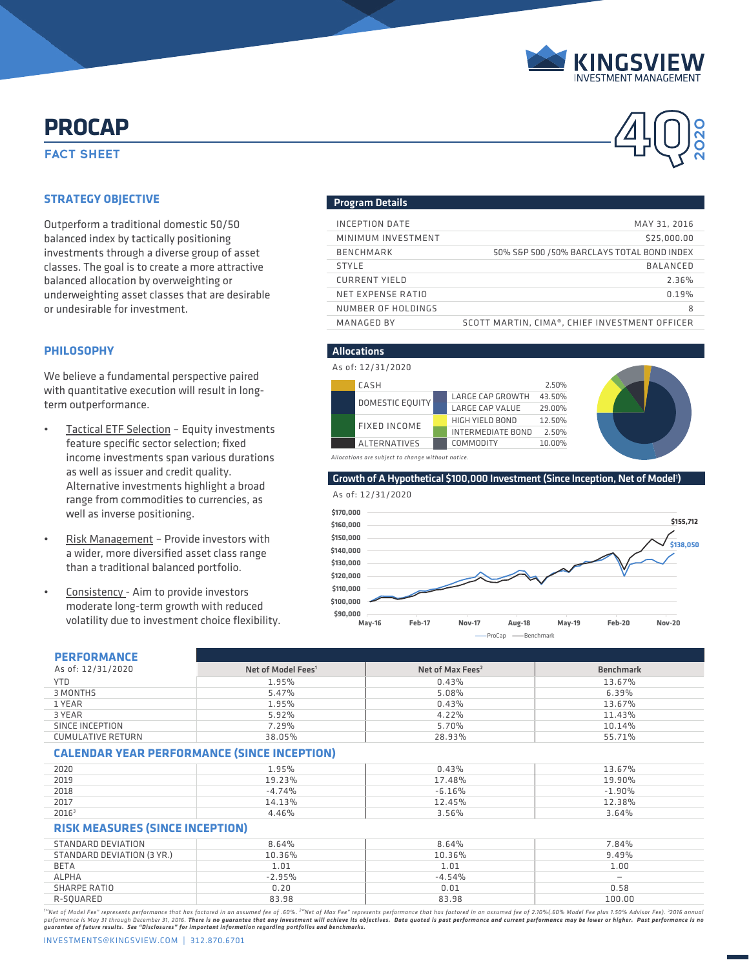

**2020**

# **FACT SHEET PROCAP**

## **STRATEGY OBJECTIVE**

Outperform a traditional domestic 50/50 balanced index by tactically positioning investments through a diverse group of asset classes. The goal is to create a more attractive balanced allocation by overweighting or underweighting asset classes that are desirable or undesirable for investment.

## **PHILOSOPHY**

We believe a fundamental perspective paired with quantitative execution will result in longterm outperformance.

- Tactical ETF Selection Equity investments feature specific sector selection; fixed income investments span various durations as well as issuer and credit quality. Alternative investments highlight a broad range from commodities to currencies, as well as inverse positioning.
- Risk Management Provide investors with a wider, more diversified asset class range than a traditional balanced portfolio.
- Consistency Aim to provide investors moderate long-term growth with reduced volatility due to investment choice flexibility.

### Program Details

| INCEPTION DATE     | MAY 31, 2016                                  |
|--------------------|-----------------------------------------------|
| MINIMUM INVESTMENT | \$25,000,00                                   |
| <b>BENCHMARK</b>   | 50% S&P 500 / 50% BARCLAYS TOTAL BOND INDEX   |
| <b>STYLE</b>       | BALANCED                                      |
| CURRENT YIELD      | 2.36%                                         |
| NET EXPENSE RATIO  | 0.19%                                         |
| NUMBER OF HOLDINGS | 8                                             |
| MANAGED BY         | SCOTT MARTIN, CIMA®, CHIEF INVESTMENT OFFICER |

## Allocations

|                                                  | As of: 12/31/2020   |                          |                         |        |  |  |
|--------------------------------------------------|---------------------|--------------------------|-------------------------|--------|--|--|
|                                                  | CASH                |                          |                         | 2.50%  |  |  |
|                                                  | DOMESTIC EQUITY     |                          | <b>LARGE CAP GROWTH</b> | 43.50% |  |  |
|                                                  |                     |                          | LARGE CAP VALUE         | 29.00% |  |  |
|                                                  |                     |                          | HIGH YIELD BOND         | 12.50% |  |  |
| FIXED INCOME                                     |                     | <b>INTERMEDIATE BOND</b> | 2.50%                   |        |  |  |
|                                                  | <b>ALTERNATIVES</b> |                          | COMMODITY               | 10.00% |  |  |
| Allocations are subject to chonge without notice |                     |                          |                         |        |  |  |



*Allocations are subject to change without notice.*

#### Growth of A Hypothetical \$100,000 Investment (Since Inception, Net of Model<sup>1</sup>)



## **PERFORMANCE**

| As of: 12/31/2020<br>Net of Max Fees <sup>2</sup><br><b>Benchmark</b><br>Net of Model Fees <sup>1</sup><br><b>YTD</b><br>1.95%<br>0.43%<br>13.67%<br>3 MONTHS<br>5.47%<br>5.08%<br>6.39%<br>1 YEAR<br>1.95%<br>0.43%<br>13.67%<br>5.92%<br>3 YEAR<br>4.22%<br>11.43%<br>SINCE INCEPTION<br>7.29%<br>5.70%<br>10.14%<br><b>CUMULATIVE RETURN</b><br>38.05%<br>28.93%<br>55.71%<br><b>CALENDAR YEAR PERFORMANCE (SINCE INCEPTION)</b><br>0.43%<br>2020<br>1.95%<br>13.67%<br>2019<br>19.23%<br>17.48%<br>19.90%<br>2018<br>$-4.74%$<br>$-6.16%$<br>$-1.90\%$<br>2017<br>14.13%<br>12.45%<br>12.38%<br>2016 <sup>3</sup><br>4.46%<br>3.56%<br>3.64%<br><b>RISK MEASURES (SINCE INCEPTION)</b><br>STANDARD DEVIATION<br>8.64%<br>7.84%<br>8.64%<br>STANDARD DEVIATION (3 YR.)<br>10.36%<br>9.49%<br>10.36%<br><b>BETA</b><br>1.01<br>1.01<br>1.00<br><b>ALPHA</b><br>$-2.95%$<br>$-4.54%$<br>$\overline{\phantom{0}}$<br>SHARPE RATIO<br>0.20<br>0.01<br>0.58<br>R-SQUARED<br>83.98<br>83.98<br>100.00 | PERFURMANLE |  |  |  |  |  |  |  |
|----------------------------------------------------------------------------------------------------------------------------------------------------------------------------------------------------------------------------------------------------------------------------------------------------------------------------------------------------------------------------------------------------------------------------------------------------------------------------------------------------------------------------------------------------------------------------------------------------------------------------------------------------------------------------------------------------------------------------------------------------------------------------------------------------------------------------------------------------------------------------------------------------------------------------------------------------------------------------------------------------|-------------|--|--|--|--|--|--|--|
|                                                                                                                                                                                                                                                                                                                                                                                                                                                                                                                                                                                                                                                                                                                                                                                                                                                                                                                                                                                                    |             |  |  |  |  |  |  |  |
|                                                                                                                                                                                                                                                                                                                                                                                                                                                                                                                                                                                                                                                                                                                                                                                                                                                                                                                                                                                                    |             |  |  |  |  |  |  |  |
|                                                                                                                                                                                                                                                                                                                                                                                                                                                                                                                                                                                                                                                                                                                                                                                                                                                                                                                                                                                                    |             |  |  |  |  |  |  |  |
|                                                                                                                                                                                                                                                                                                                                                                                                                                                                                                                                                                                                                                                                                                                                                                                                                                                                                                                                                                                                    |             |  |  |  |  |  |  |  |
|                                                                                                                                                                                                                                                                                                                                                                                                                                                                                                                                                                                                                                                                                                                                                                                                                                                                                                                                                                                                    |             |  |  |  |  |  |  |  |
|                                                                                                                                                                                                                                                                                                                                                                                                                                                                                                                                                                                                                                                                                                                                                                                                                                                                                                                                                                                                    |             |  |  |  |  |  |  |  |
|                                                                                                                                                                                                                                                                                                                                                                                                                                                                                                                                                                                                                                                                                                                                                                                                                                                                                                                                                                                                    |             |  |  |  |  |  |  |  |
|                                                                                                                                                                                                                                                                                                                                                                                                                                                                                                                                                                                                                                                                                                                                                                                                                                                                                                                                                                                                    |             |  |  |  |  |  |  |  |
|                                                                                                                                                                                                                                                                                                                                                                                                                                                                                                                                                                                                                                                                                                                                                                                                                                                                                                                                                                                                    |             |  |  |  |  |  |  |  |
|                                                                                                                                                                                                                                                                                                                                                                                                                                                                                                                                                                                                                                                                                                                                                                                                                                                                                                                                                                                                    |             |  |  |  |  |  |  |  |
|                                                                                                                                                                                                                                                                                                                                                                                                                                                                                                                                                                                                                                                                                                                                                                                                                                                                                                                                                                                                    |             |  |  |  |  |  |  |  |
|                                                                                                                                                                                                                                                                                                                                                                                                                                                                                                                                                                                                                                                                                                                                                                                                                                                                                                                                                                                                    |             |  |  |  |  |  |  |  |
|                                                                                                                                                                                                                                                                                                                                                                                                                                                                                                                                                                                                                                                                                                                                                                                                                                                                                                                                                                                                    |             |  |  |  |  |  |  |  |
|                                                                                                                                                                                                                                                                                                                                                                                                                                                                                                                                                                                                                                                                                                                                                                                                                                                                                                                                                                                                    |             |  |  |  |  |  |  |  |
|                                                                                                                                                                                                                                                                                                                                                                                                                                                                                                                                                                                                                                                                                                                                                                                                                                                                                                                                                                                                    |             |  |  |  |  |  |  |  |
|                                                                                                                                                                                                                                                                                                                                                                                                                                                                                                                                                                                                                                                                                                                                                                                                                                                                                                                                                                                                    |             |  |  |  |  |  |  |  |
|                                                                                                                                                                                                                                                                                                                                                                                                                                                                                                                                                                                                                                                                                                                                                                                                                                                                                                                                                                                                    |             |  |  |  |  |  |  |  |
|                                                                                                                                                                                                                                                                                                                                                                                                                                                                                                                                                                                                                                                                                                                                                                                                                                                                                                                                                                                                    |             |  |  |  |  |  |  |  |
|                                                                                                                                                                                                                                                                                                                                                                                                                                                                                                                                                                                                                                                                                                                                                                                                                                                                                                                                                                                                    |             |  |  |  |  |  |  |  |
|                                                                                                                                                                                                                                                                                                                                                                                                                                                                                                                                                                                                                                                                                                                                                                                                                                                                                                                                                                                                    |             |  |  |  |  |  |  |  |

"Net of Model Fee" represents performance that has factored in an assumed fee of .60%. <sup>2</sup>"Net of Max Fee" represents performance that has factored in an assumed fee of 2.10%(.60% Model Fee plus 1.50% Advisor Fee). 32016 a performance is May 31 through December 31, 2016. There i**s no guarantee that any investment will achieve its objectives. Data quoted is past performance and current performance may be lower or higher. Past performance is n** 

INVESTMENTS@KINGSVIEW.COM | 312.870.6701